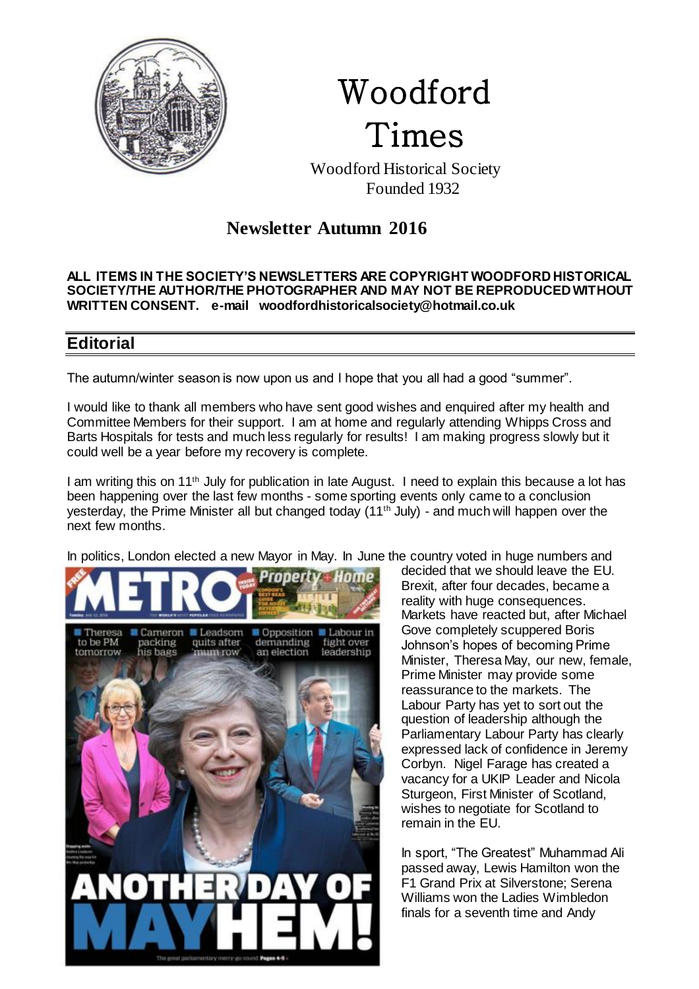

# Woodford Times

 Woodford Historical Society Founded 1932

# **Newsletter Autumn 2016**

#### **ALL ITEMS IN THE SOCIETY'S NEWSLETTERS ARE COPYRIGHT WOODFORD HISTORICAL SOCIETY/THE AUTHOR/THE PHOTOGRAPHER AND MAY NOT BE REPRODUCED WITHOUT WRITTEN CONSENT. e-mail woodfordhistoricalsociety@hotmail.co.uk**

## **Editorial**

The autumn/winter season is now upon us and I hope that you all had a good "summer".

I would like to thank all members who have sent good wishes and enquired after my health and Committee Members for their support. I am at home and regularly attending Whipps Cross and Barts Hospitals for tests and much less regularly for results! I am making progress slowly but it could well be a year before my recovery is complete.

I am writing this on 11th July for publication in late August. I need to explain this because a lot has been happening over the last few months - some sporting events only came to a conclusion yesterday, the Prime Minister all but changed today (11<sup>th</sup> July) - and much will happen over the next few months.

In politics, London elected a new Mayor in May. In June the country voted in huge numbers and



decided that we should leave the EU. Brexit, after four decades, became a reality with huge consequences. Markets have reacted but, after Michael Gove completely scuppered Boris Johnson's hopes of becoming Prime Minister, Theresa May, our new, female, Prime Minister may provide some reassurance to the markets. The Labour Party has yet to sort out the question of leadership although the Parliamentary Labour Party has clearly expressed lack of confidence in Jeremy Corbyn. Nigel Farage has created a vacancy for a UKIP Leader and Nicola Sturgeon, First Minister of Scotland, wishes to negotiate for Scotland to remain in the EU.

In sport, "The Greatest" Muhammad Ali passed away, Lewis Hamilton won the F1 Grand Prix at Silverstone; Serena Williams won the Ladies Wimbledon finals for a seventh time and Andy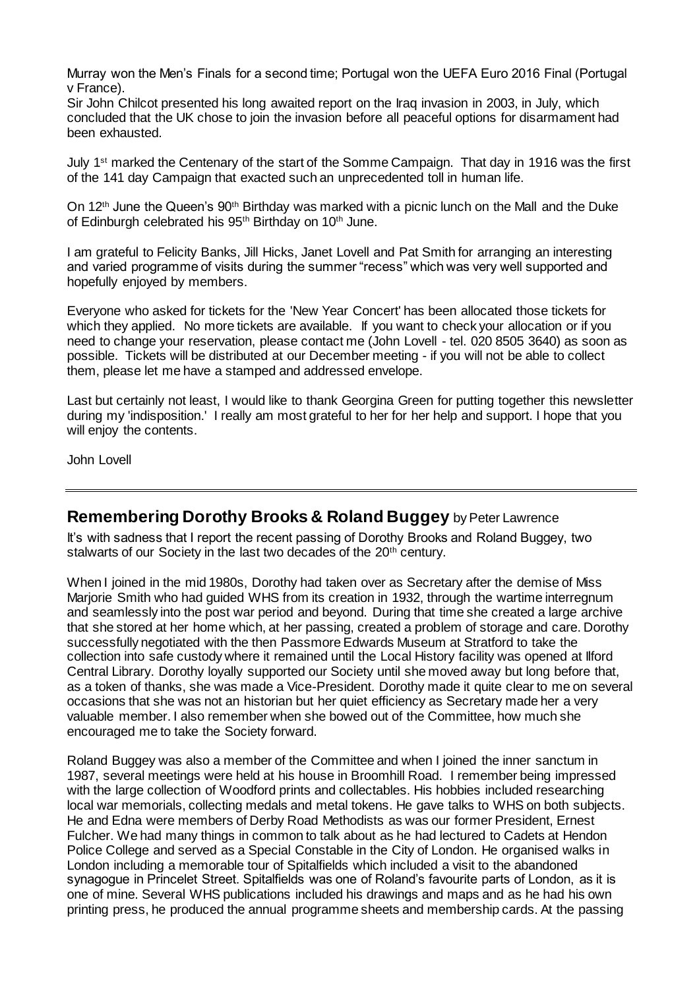Murray won the Men's Finals for a second time; Portugal won the UEFA Euro 2016 Final (Portugal v France).

Sir John Chilcot presented his long awaited report on the Iraq invasion in 2003, in July, which concluded that the UK chose to join the invasion before all peaceful options for disarmament had been exhausted.

July 1<sup>st</sup> marked the Centenary of the start of the Somme Campaign. That day in 1916 was the first of the 141 day Campaign that exacted such an unprecedented toll in human life.

On 12<sup>th</sup> June the Queen's 90<sup>th</sup> Birthday was marked with a picnic lunch on the Mall and the Duke of Edinburgh celebrated his 95<sup>th</sup> Birthday on 10<sup>th</sup> June.

I am grateful to Felicity Banks, Jill Hicks, Janet Lovell and Pat Smith for arranging an interesting and varied programme of visits during the summer "recess" which was very well supported and hopefully enjoyed by members.

Everyone who asked for tickets for the 'New Year Concert' has been allocated those tickets for which they applied. No more tickets are available. If you want to check your allocation or if you need to change your reservation, please contact me (John Lovell - tel. 020 8505 3640) as soon as possible. Tickets will be distributed at our December meeting - if you will not be able to collect them, please let me have a stamped and addressed envelope.

Last but certainly not least, I would like to thank Georgina Green for putting together this newsletter during my 'indisposition.' I really am most grateful to her for her help and support. I hope that you will enjoy the contents.

John Lovell

#### **Remembering Dorothy Brooks & Roland Buggey** by Peter Lawrence

It's with sadness that I report the recent passing of Dorothy Brooks and Roland Buggey, two stalwarts of our Society in the last two decades of the 20<sup>th</sup> century.

When I joined in the mid 1980s, Dorothy had taken over as Secretary after the demise of Miss Marjorie Smith who had guided WHS from its creation in 1932, through the wartime interregnum and seamlessly into the post war period and beyond. During that time she created a large archive that she stored at her home which, at her passing, created a problem of storage and care. Dorothy successfully negotiated with the then Passmore Edwards Museum at Stratford to take the collection into safe custody where it remained until the Local History facility was opened at Ilford Central Library. Dorothy loyally supported our Society until she moved away but long before that, as a token of thanks, she was made a Vice-President. Dorothy made it quite clear to me on several occasions that she was not an historian but her quiet efficiency as Secretary made her a very valuable member. I also remember when she bowed out of the Committee, how much she encouraged me to take the Society forward.

Roland Buggey was also a member of the Committee and when I joined the inner sanctum in 1987, several meetings were held at his house in Broomhill Road. I remember being impressed with the large collection of Woodford prints and collectables. His hobbies included researching local war memorials, collecting medals and metal tokens. He gave talks to WHS on both subjects. He and Edna were members of Derby Road Methodists as was our former President, Ernest Fulcher. We had many things in common to talk about as he had lectured to Cadets at Hendon Police College and served as a Special Constable in the City of London. He organised walks in London including a memorable tour of Spitalfields which included a visit to the abandoned synagogue in Princelet Street. Spitalfields was one of Roland's favourite parts of London, as it is one of mine. Several WHS publications included his drawings and maps and as he had his own printing press, he produced the annual programme sheets and membership cards. At the passing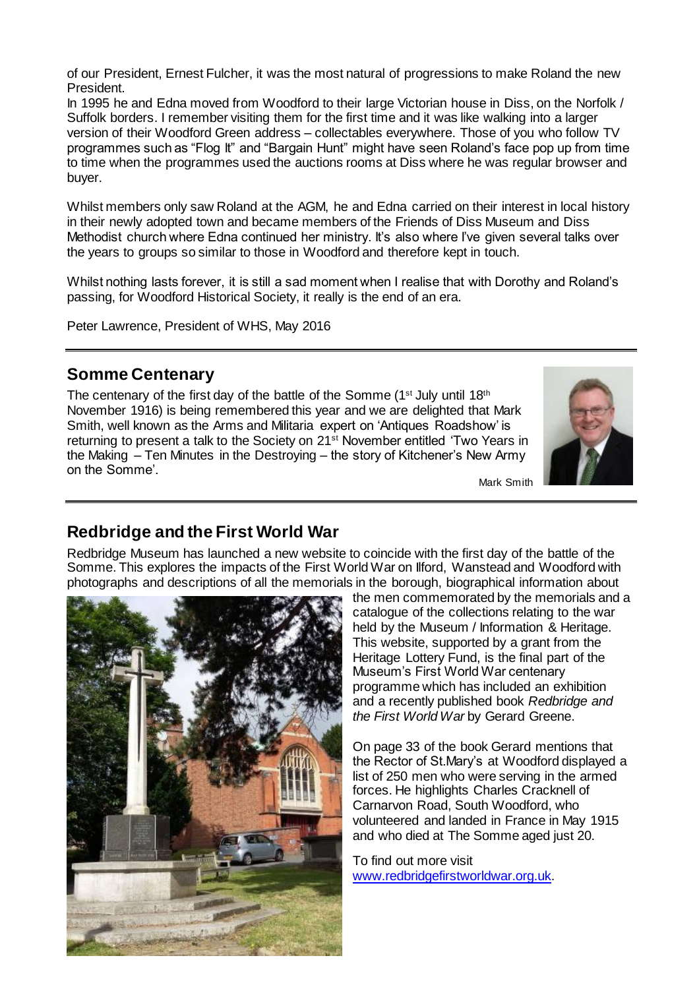of our President, Ernest Fulcher, it was the most natural of progressions to make Roland the new President.

In 1995 he and Edna moved from Woodford to their large Victorian house in Diss, on the Norfolk / Suffolk borders. I remember visiting them for the first time and it was like walking into a larger version of their Woodford Green address – collectables everywhere. Those of you who follow TV programmes such as "Flog It" and "Bargain Hunt" might have seen Roland's face pop up from time to time when the programmes used the auctions rooms at Diss where he was regular browser and buyer.

Whilst members only saw Roland at the AGM, he and Edna carried on their interest in local history in their newly adopted town and became members of the Friends of Diss Museum and Diss Methodist church where Edna continued her ministry. It's also where I've given several talks over the years to groups so similar to those in Woodford and therefore kept in touch.

Whilst nothing lasts forever, it is still a sad moment when I realise that with Dorothy and Roland's passing, for Woodford Historical Society, it really is the end of an era.

Peter Lawrence, President of WHS, May 2016

#### **Somme Centenary**

The centenary of the first day of the battle of the Somme  $(1^{st}$  July until  $18^{th}$ November 1916) is being remembered this year and we are delighted that Mark Smith, well known as the Arms and Militaria expert on 'Antiques Roadshow' is returning to present a talk to the Society on 21st November entitled 'Two Years in the Making – Ten Minutes in the Destroying – the story of Kitchener's New Army on the Somme'.



Mark Smith

# **Redbridge and the First World War**

Redbridge Museum has launched a new website to coincide with the first day of the battle of the Somme. This explores the impacts of the First World War on Ilford, Wanstead and Woodford with photographs and descriptions of all the memorials in the borough, biographical information about



the men commemorated by the memorials and a catalogue of the collections relating to the war held by the Museum / Information & Heritage. This website, supported by a grant from the Heritage Lottery Fund, is the final part of the Museum's First World War centenary programme which has included an exhibition and a recently published book *Redbridge and the First World War* by Gerard Greene.

On page 33 of the book Gerard mentions that the Rector of St.Mary's at Woodford displayed a list of 250 men who were serving in the armed forces. He highlights Charles Cracknell of Carnarvon Road, South Woodford, who volunteered and landed in France in May 1915 and who died at The Somme aged just 20.

To find out more visit [www.redbridgefirstworldwar.org.uk.](http://redbridge.us9.list-manage.com/track/click?u=ba0b3a3d80fd903b9315af811&id=c5b21d44e8&e=f2514b3c7f)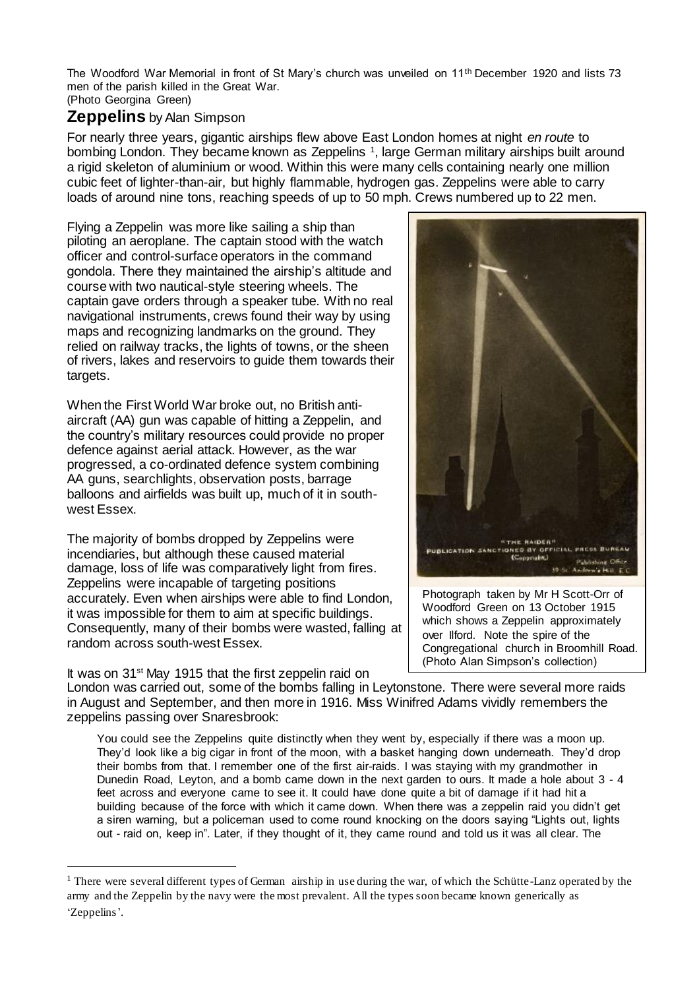The Woodford War Memorial in front of St Mary's church was unveiled on 11<sup>th</sup> December 1920 and lists 73 men of the parish killed in the Great War.

#### (Photo Georgina Green)

#### **Zeppelins** by Alan Simpson

For nearly three years, gigantic airships flew above East London homes at night *en route* to bombing London. They became known as Zeppelins <sup>1</sup>, large German military airships built around a rigid skeleton of aluminium or wood. Within this were many cells containing nearly one million cubic feet of lighter-than-air, but highly flammable, hydrogen gas. Zeppelins were able to carry loads of around nine tons, reaching speeds of up to 50 mph. Crews numbered up to 22 men.

Flying a Zeppelin was more like sailing a ship than piloting an aeroplane. The captain stood with the watch officer and control-surface operators in the command gondola. There they maintained the airship's altitude and course with two nautical-style steering wheels. The captain gave orders through a speaker tube. With no real navigational instruments, crews found their way by using maps and recognizing landmarks on the ground. They relied on railway tracks, the lights of towns, or the sheen of rivers, lakes and reservoirs to guide them towards their targets.

When the First World War broke out, no British antiaircraft (AA) gun was capable of hitting a Zeppelin, and the country's military resources could provide no proper defence against aerial attack. However, as the war progressed, a co-ordinated defence system combining AA guns, searchlights, observation posts, barrage balloons and airfields was built up, much of it in southwest Essex.

The majority of bombs dropped by Zeppelins were incendiaries, but although these caused material damage, loss of life was comparatively light from fires. Zeppelins were incapable of targeting positions accurately. Even when airships were able to find London, it was impossible for them to aim at specific buildings. Consequently, many of their bombs were wasted, falling at random across south-west Essex.

It was on 31<sup>st</sup> May 1915 that the first zeppelin raid on

 $\overline{a}$ 

London was carried out, some of the bombs falling in Leytonstone. There were several more raids in August and September, and then more in 1916. Miss Winifred Adams vividly remembers the zeppelins passing over Snaresbrook:

You could see the Zeppelins quite distinctly when they went by, especially if there was a moon up. They'd look like a big cigar in front of the moon, with a basket hanging down underneath. They'd drop their bombs from that. I remember one of the first air-raids. I was staying with my grandmother in Dunedin Road, Leyton, and a bomb came down in the next garden to ours. It made a hole about 3 - 4 feet across and everyone came to see it. It could have done quite a bit of damage if it had hit a building because of the force with which it came down. When there was a zeppelin raid you didn't get a siren warning, but a policeman used to come round knocking on the doors saying "Lights out, lights out - raid on, keep in". Later, if they thought of it, they came round and told us it was all clear. The



Photograph taken by Mr H Scott-Orr of Woodford Green on 13 October 1915 which shows a Zeppelin approximately over Ilford. Note the spire of the Congregational church in Broomhill Road. (Photo Alan Simpson's collection)

<sup>&</sup>lt;sup>1</sup> There were several different types of German airship in use during the war, of which the Schütte-Lanz operated by the army and the Zeppelin by the navy were the most prevalent. All the types soon became known generically as 'Zeppelins'.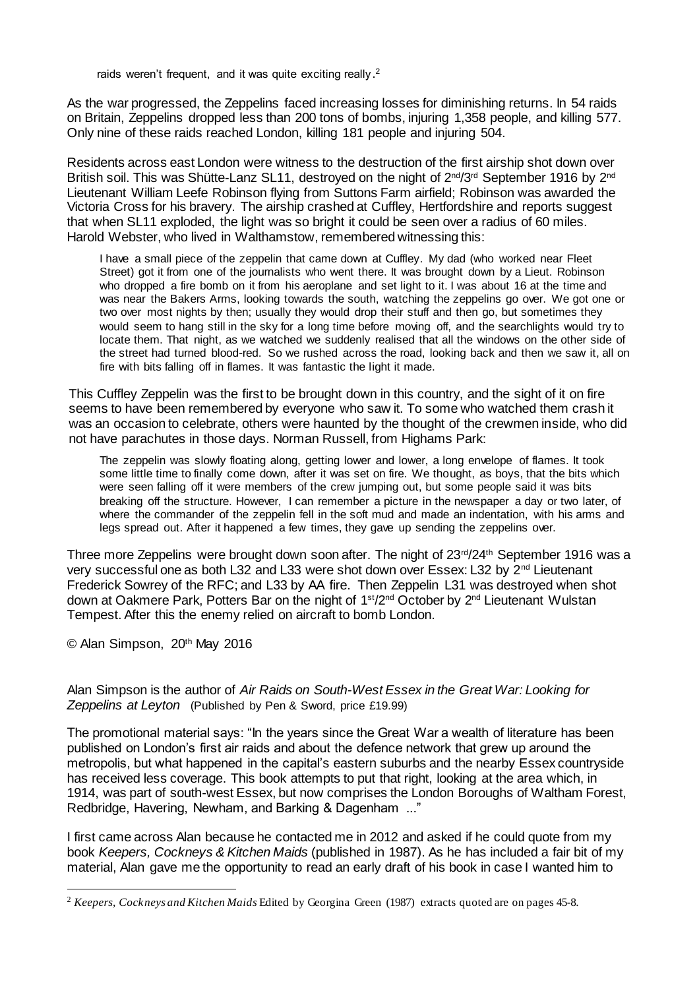raids weren't frequent, and it was quite exciting really.<sup>2</sup>

As the war progressed, the Zeppelins faced increasing losses for diminishing returns. In 54 raids on Britain, Zeppelins dropped less than 200 tons of bombs, injuring 1,358 people, and killing 577. Only nine of these raids reached London, killing 181 people and injuring 504.

Residents across east London were witness to the destruction of the first airship shot down over British soil. This was Shütte-Lanz SL11, destroved on the night of 2<sup>nd</sup>/3<sup>rd</sup> September 1916 by 2<sup>nd</sup> Lieutenant William Leefe Robinson flying from Suttons Farm airfield; Robinson was awarded the Victoria Cross for his bravery. The airship crashed at Cuffley, Hertfordshire and reports suggest that when SL11 exploded, the light was so bright it could be seen over a radius of 60 miles. Harold Webster, who lived in Walthamstow, remembered witnessing this:

I have a small piece of the zeppelin that came down at Cuffley. My dad (who worked near Fleet Street) got it from one of the journalists who went there. It was brought down by a Lieut. Robinson who dropped a fire bomb on it from his aeroplane and set light to it. I was about 16 at the time and was near the Bakers Arms, looking towards the south, watching the zeppelins go over. We got one or two over most nights by then; usually they would drop their stuff and then go, but sometimes they would seem to hang still in the sky for a long time before moving off, and the searchlights would try to locate them. That night, as we watched we suddenly realised that all the windows on the other side of the street had turned blood-red. So we rushed across the road, looking back and then we saw it, all on fire with bits falling off in flames. It was fantastic the light it made.

This Cuffley Zeppelin was the first to be brought down in this country, and the sight of it on fire seems to have been remembered by everyone who saw it. To some who watched them crash it was an occasion to celebrate, others were haunted by the thought of the crewmen inside, who did not have parachutes in those days. Norman Russell, from Highams Park:

The zeppelin was slowly floating along, getting lower and lower, a long envelope of flames. It took some little time to finally come down, after it was set on fire. We thought, as boys, that the bits which were seen falling off it were members of the crew jumping out, but some people said it was bits breaking off the structure. However, I can remember a picture in the newspaper a day or two later, of where the commander of the zeppelin fell in the soft mud and made an indentation, with his arms and legs spread out. After it happened a few times, they gave up sending the zeppelins over.

Three more Zeppelins were brought down soon after. The night of 23<sup>rd</sup>/24<sup>th</sup> September 1916 was a very successful one as both L32 and L33 were shot down over Essex: L32 by  $2^{nd}$  Lieutenant Frederick Sowrey of the RFC; and L33 by AA fire. Then Zeppelin L31 was destroyed when shot down at Oakmere Park, Potters Bar on the night of 1<sup>st</sup>/2<sup>nd</sup> October by 2<sup>nd</sup> Lieutenant Wulstan Tempest. After this the enemy relied on aircraft to bomb London.

© Alan Simpson, 20th May 2016

 $\overline{a}$ 

Alan Simpson is the author of *Air Raids on South-West Essex in the Great War: Looking for Zeppelins at Leyton* (Published by Pen & Sword, price £19.99)

The promotional material says: "In the years since the Great War a wealth of literature has been published on London's first air raids and about the defence network that grew up around the metropolis, but what happened in the capital's eastern suburbs and the nearby Essex countryside has received less coverage. This book attempts to put that right, looking at the area which, in 1914, was part of south-west Essex, but now comprises the London Boroughs of Waltham Forest, Redbridge, Havering, Newham, and Barking & Dagenham ..."

I first came across Alan because he contacted me in 2012 and asked if he could quote from my book *Keepers, Cockneys & Kitchen Maids* (published in 1987). As he has included a fair bit of my material, Alan gave me the opportunity to read an early draft of his book in case I wanted him to

<sup>2</sup> *Keepers, Cockneys and Kitchen Maids* Edited by Georgina Green (1987) extracts quoted are on pages 45-8.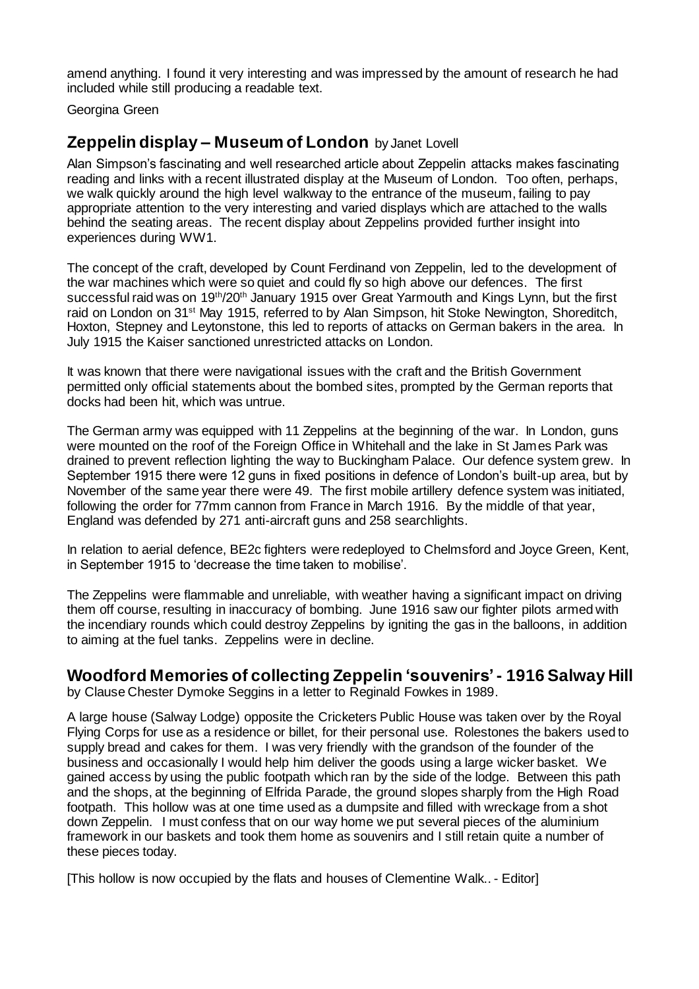amend anything. I found it very interesting and was impressed by the amount of research he had included while still producing a readable text.

Georgina Green

## **Zeppelin display – Museum of London** by Janet Lovell

Alan Simpson's fascinating and well researched article about Zeppelin attacks makes fascinating reading and links with a recent illustrated display at the Museum of London. Too often, perhaps, we walk quickly around the high level walkway to the entrance of the museum, failing to pay appropriate attention to the very interesting and varied displays which are attached to the walls behind the seating areas. The recent display about Zeppelins provided further insight into experiences during WW1.

The concept of the craft, developed by Count Ferdinand von Zeppelin, led to the development of the war machines which were so quiet and could fly so high above our defences. The first successful raid was on 19<sup>th</sup>/20<sup>th</sup> January 1915 over Great Yarmouth and Kings Lynn, but the first raid on London on 31<sup>st</sup> May 1915, referred to by Alan Simpson, hit Stoke Newington, Shoreditch, Hoxton, Stepney and Leytonstone, this led to reports of attacks on German bakers in the area. In July 1915 the Kaiser sanctioned unrestricted attacks on London.

It was known that there were navigational issues with the craft and the British Government permitted only official statements about the bombed sites, prompted by the German reports that docks had been hit, which was untrue.

The German army was equipped with 11 Zeppelins at the beginning of the war. In London, guns were mounted on the roof of the Foreign Office in Whitehall and the lake in St James Park was drained to prevent reflection lighting the way to Buckingham Palace. Our defence system grew. In September 1915 there were 12 guns in fixed positions in defence of London's built-up area, but by November of the same year there were 49. The first mobile artillery defence system was initiated, following the order for 77mm cannon from France in March 1916. By the middle of that year, England was defended by 271 anti-aircraft guns and 258 searchlights.

In relation to aerial defence, BE2c fighters were redeployed to Chelmsford and Joyce Green, Kent, in September 1915 to 'decrease the time taken to mobilise'.

The Zeppelins were flammable and unreliable, with weather having a significant impact on driving them off course, resulting in inaccuracy of bombing. June 1916 saw our fighter pilots armed with the incendiary rounds which could destroy Zeppelins by igniting the gas in the balloons, in addition to aiming at the fuel tanks. Zeppelins were in decline.

# **Woodford Memories of collecting Zeppelin 'souvenirs' - 1916 Salway Hill**

by Clause Chester Dymoke Seggins in a letter to Reginald Fowkes in 1989.

A large house (Salway Lodge) opposite the Cricketers Public House was taken over by the Royal Flying Corps for use as a residence or billet, for their personal use. Rolestones the bakers used to supply bread and cakes for them. I was very friendly with the grandson of the founder of the business and occasionally I would help him deliver the goods using a large wicker basket. We gained access by using the public footpath which ran by the side of the lodge. Between this path and the shops, at the beginning of Elfrida Parade, the ground slopes sharply from the High Road footpath. This hollow was at one time used as a dumpsite and filled with wreckage from a shot down Zeppelin. I must confess that on our way home we put several pieces of the aluminium framework in our baskets and took them home as souvenirs and I still retain quite a number of these pieces today.

[This hollow is now occupied by the flats and houses of Clementine Walk.. - Editor]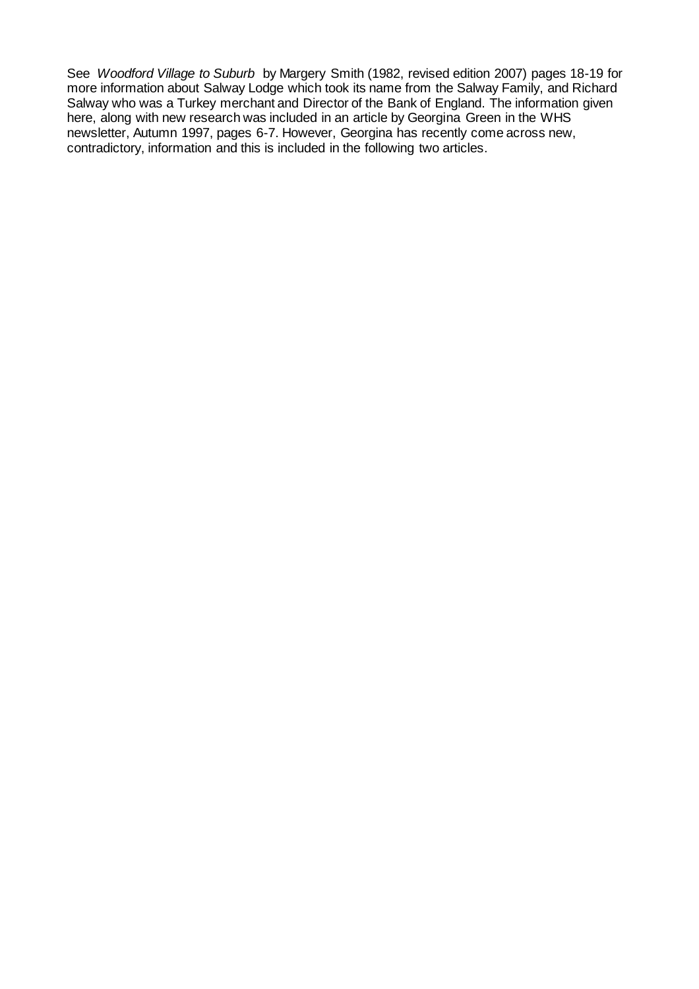See *Woodford Village to Suburb* by Margery Smith (1982, revised edition 2007) pages 18-19 for more information about Salway Lodge which took its name from the Salway Family, and Richard Salway who was a Turkey merchant and Director of the Bank of England. The information given here, along with new research was included in an article by Georgina Green in the WHS newsletter, Autumn 1997, pages 6-7. However, Georgina has recently come across new, contradictory, information and this is included in the following two articles.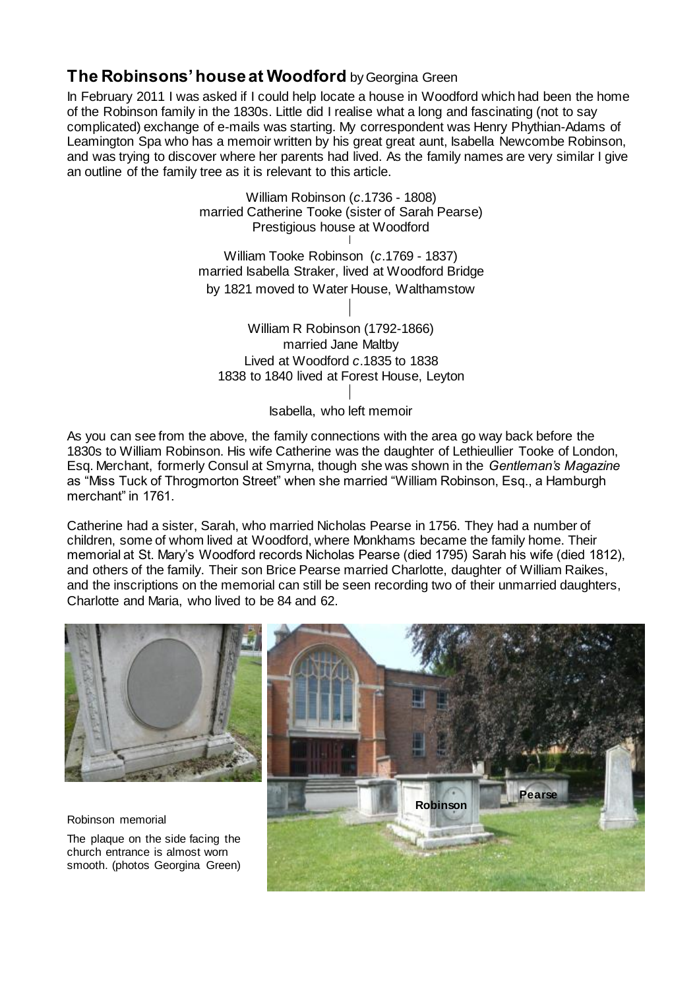# **The Robinsons' house at Woodford** by Georgina Green

In February 2011 I was asked if I could help locate a house in Woodford which had been the home of the Robinson family in the 1830s. Little did I realise what a long and fascinating (not to say complicated) exchange of e-mails was starting. My correspondent was Henry Phythian-Adams of Leamington Spa who has a memoir written by his great great aunt, Isabella Newcombe Robinson, and was trying to discover where her parents had lived. As the family names are very similar I give an outline of the family tree as it is relevant to this article.

> William Robinson (*c*.1736 - 1808) married Catherine Tooke (sister of Sarah Pearse) Prestigious house at Woodford William Tooke Robinson (*c*.1769 - 1837)

> married Isabella Straker, lived at Woodford Bridge

by 1821 moved to Water House, Walthamstow

William R Robinson (1792-1866) married Jane Maltby Lived at Woodford *c*.1835 to 1838 1838 to 1840 lived at Forest House, Leyton

Isabella, who left memoir

As you can see from the above, the family connections with the area go way back before the 1830s to William Robinson. His wife Catherine was the daughter of Lethieullier Tooke of London, Esq. Merchant, formerly Consul at Smyrna, though she was shown in the *Gentleman's Magazine* as "Miss Tuck of Throgmorton Street" when she married "William Robinson, Esq., a Hamburgh merchant" in 1761.

Catherine had a sister, Sarah, who married Nicholas Pearse in 1756. They had a number of children, some of whom lived at Woodford, where Monkhams became the family home. Their memorial at St. Mary's Woodford records Nicholas Pearse (died 1795) Sarah his wife (died 1812), and others of the family. Their son Brice Pearse married Charlotte, daughter of William Raikes, and the inscriptions on the memorial can still be seen recording two of their unmarried daughters, Charlotte and Maria, who lived to be 84 and 62.

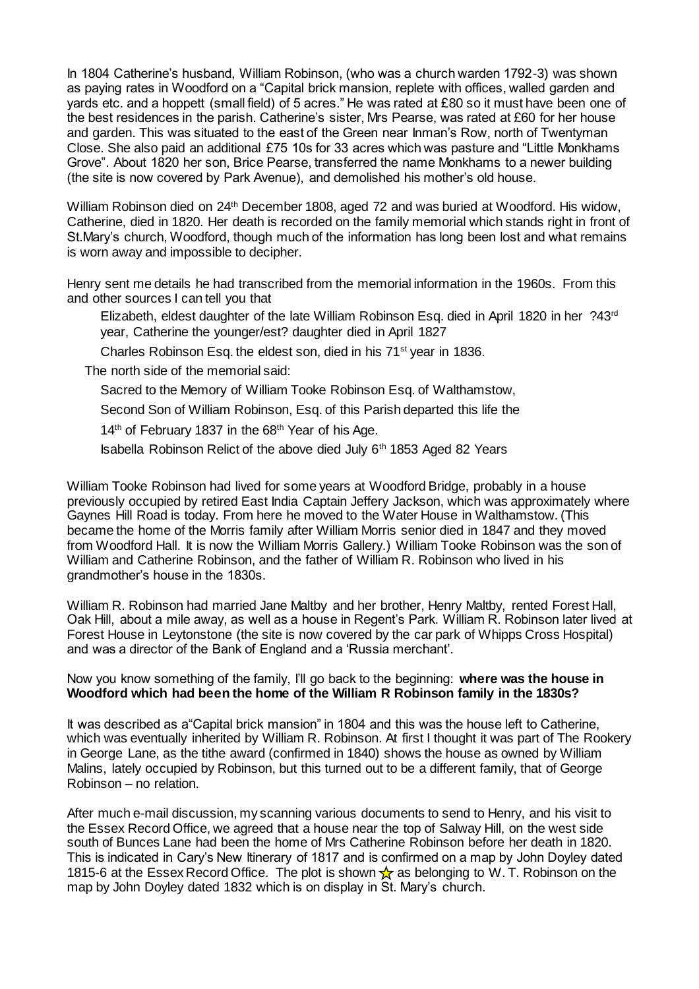In 1804 Catherine's husband, William Robinson, (who was a church warden 1792-3) was shown as paying rates in Woodford on a "Capital brick mansion, replete with offices, walled garden and yards etc. and a hoppett (small field) of 5 acres." He was rated at £80 so it must have been one of the best residences in the parish. Catherine's sister, Mrs Pearse, was rated at £60 for her house and garden. This was situated to the east of the Green near Inman's Row, north of Twentyman Close. She also paid an additional £75 10s for 33 acres which was pasture and "Little Monkhams Grove". About 1820 her son, Brice Pearse, transferred the name Monkhams to a newer building (the site is now covered by Park Avenue), and demolished his mother's old house.

William Robinson died on 24th December 1808, aged 72 and was buried at Woodford. His widow, Catherine, died in 1820. Her death is recorded on the family memorial which stands right in front of St.Mary's church, Woodford, though much of the information has long been lost and what remains is worn away and impossible to decipher.

Henry sent me details he had transcribed from the memorial information in the 1960s. From this and other sources I can tell you that

Elizabeth, eldest daughter of the late William Robinson Esq. died in April 1820 in her ?43<sup>rd</sup> year, Catherine the younger/est? daughter died in April 1827

Charles Robinson Esq. the eldest son, died in his 71st year in 1836.

The north side of the memorial said:

Sacred to the Memory of William Tooke Robinson Esq. of Walthamstow,

Second Son of William Robinson, Esq. of this Parish departed this life the

14<sup>th</sup> of February 1837 in the 68<sup>th</sup> Year of his Age.

Isabella Robinson Relict of the above died July 6th 1853 Aged 82 Years

William Tooke Robinson had lived for some years at Woodford Bridge, probably in a house previously occupied by retired East India Captain Jeffery Jackson, which was approximately where Gaynes Hill Road is today. From here he moved to the Water House in Walthamstow. (This became the home of the Morris family after William Morris senior died in 1847 and they moved from Woodford Hall. It is now the William Morris Gallery.) William Tooke Robinson was the son of William and Catherine Robinson, and the father of William R. Robinson who lived in his grandmother's house in the 1830s.

William R. Robinson had married Jane Maltby and her brother, Henry Maltby, rented Forest Hall, Oak Hill, about a mile away, as well as a house in Regent's Park. William R. Robinson later lived at Forest House in Leytonstone (the site is now covered by the car park of Whipps Cross Hospital) and was a director of the Bank of England and a 'Russia merchant'.

#### Now you know something of the family, I'll go back to the beginning: **where was the house in Woodford which had been the home of the William R Robinson family in the 1830s?**

It was described as a"Capital brick mansion" in 1804 and this was the house left to Catherine, which was eventually inherited by William R. Robinson. At first I thought it was part of The Rookery in George Lane, as the tithe award (confirmed in 1840) shows the house as owned by William Malins, lately occupied by Robinson, but this turned out to be a different family, that of George Robinson – no relation.

After much e-mail discussion, my scanning various documents to send to Henry, and his visit to the Essex Record Office, we agreed that a house near the top of Salway Hill, on the west side south of Bunces Lane had been the home of Mrs Catherine Robinson before her death in 1820. This is indicated in Cary's New Itinerary of 1817 and is confirmed on a map by John Doyley dated 1815-6 at the Essex Record Office. The plot is shown  $\frac{1}{\sqrt{6}}$  as belonging to W. T. Robinson on the map by John Doyley dated 1832 which is on display in St. Mary's church.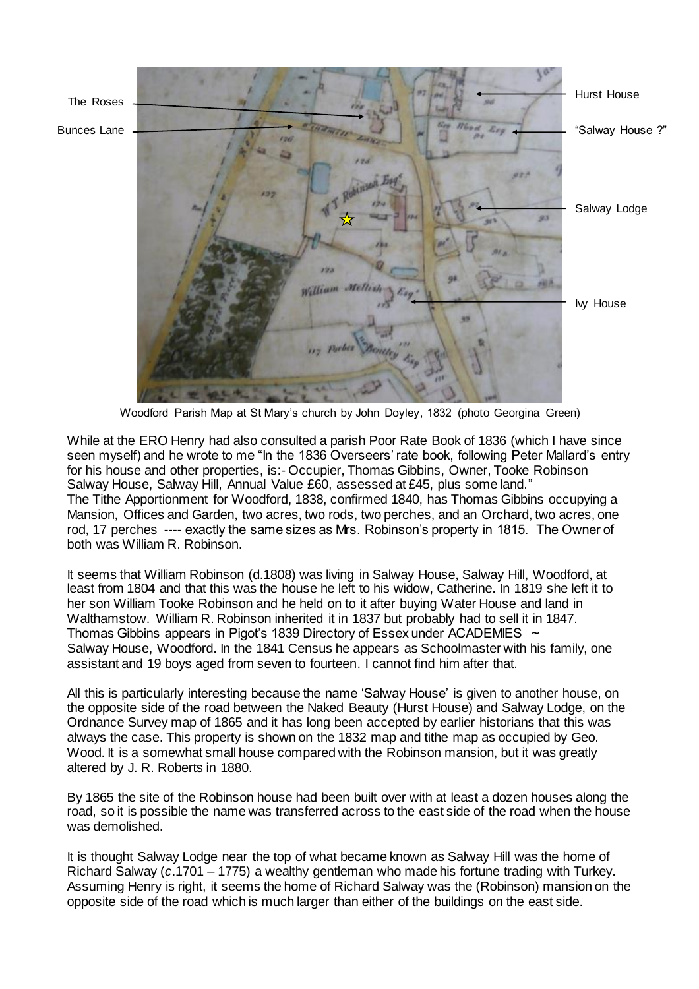

Woodford Parish Map at St Mary's church by John Doyley, 1832 (photo Georgina Green)

While at the ERO Henry had also consulted a parish Poor Rate Book of 1836 (which I have since seen myself) and he wrote to me "In the 1836 Overseers' rate book, following Peter Mallard's entry for his house and other properties, is:- Occupier, Thomas Gibbins, Owner, Tooke Robinson Salway House, Salway Hill, Annual Value £60, assessed at £45, plus some land." The Tithe Apportionment for Woodford, 1838, confirmed 1840, has Thomas Gibbins occupying a Mansion, Offices and Garden, two acres, two rods, two perches, and an Orchard, two acres, one rod, 17 perches ---- exactly the same sizes as Mrs. Robinson's property in 1815. The Owner of both was William R. Robinson.

It seems that William Robinson (d.1808) was living in Salway House, Salway Hill, Woodford, at least from 1804 and that this was the house he left to his widow, Catherine. In 1819 she left it to her son William Tooke Robinson and he held on to it after buying Water House and land in Walthamstow. William R. Robinson inherited it in 1837 but probably had to sell it in 1847. Thomas Gibbins appears in Pigot's 1839 Directory of Essex under ACADEMIES  $\sim$ Salway House, Woodford. In the 1841 Census he appears as Schoolmaster with his family, one assistant and 19 boys aged from seven to fourteen. I cannot find him after that.

All this is particularly interesting because the name 'Salway House' is given to another house, on the opposite side of the road between the Naked Beauty (Hurst House) and Salway Lodge, on the Ordnance Survey map of 1865 and it has long been accepted by earlier historians that this was always the case. This property is shown on the 1832 map and tithe map as occupied by Geo. Wood. It is a somewhat small house compared with the Robinson mansion, but it was greatly altered by J. R. Roberts in 1880.

By 1865 the site of the Robinson house had been built over with at least a dozen houses along the road, so it is possible the name was transferred across to the east side of the road when the house was demolished.

It is thought Salway Lodge near the top of what became known as Salway Hill was the home of Richard Salway (*c*.1701 – 1775) a wealthy gentleman who made his fortune trading with Turkey. Assuming Henry is right, it seems the home of Richard Salway was the (Robinson) mansion on the opposite side of the road which is much larger than either of the buildings on the east side.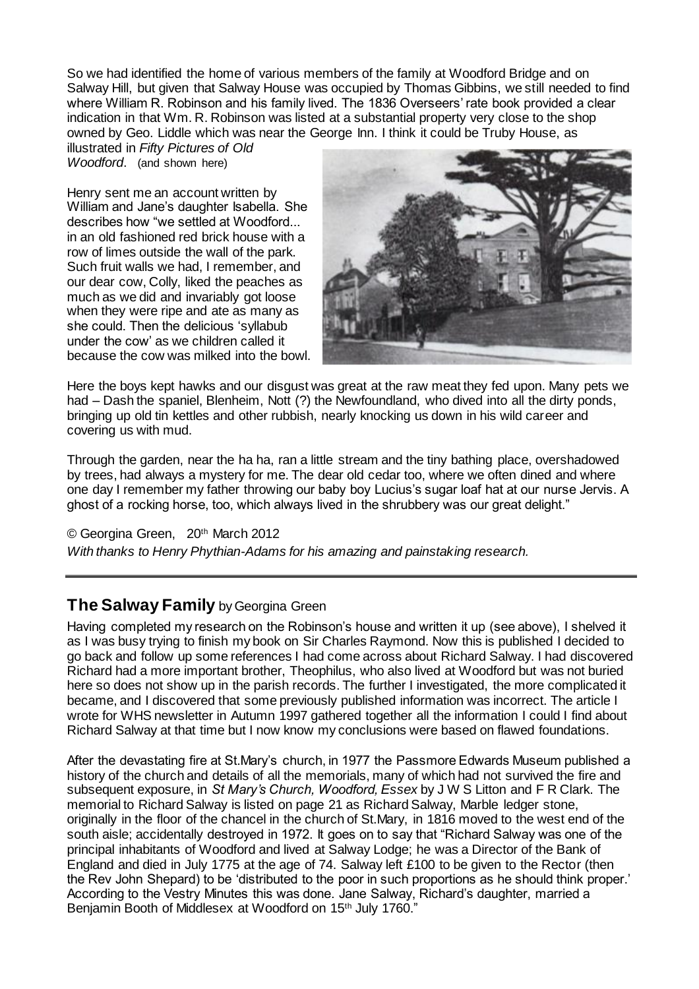So we had identified the home of various members of the family at Woodford Bridge and on Salway Hill, but given that Salway House was occupied by Thomas Gibbins, we still needed to find where William R. Robinson and his family lived. The 1836 Overseers' rate book provided a clear indication in that Wm. R. Robinson was listed at a substantial property very close to the shop owned by Geo. Liddle which was near the George Inn. I think it could be Truby House, as

illustrated in *Fifty Pictures of Old Woodford*. (and shown here)

Henry sent me an account written by William and Jane's daughter Isabella. She describes how "we settled at Woodford... in an old fashioned red brick house with a row of limes outside the wall of the park. Such fruit walls we had, I remember, and our dear cow, Colly, liked the peaches as much as we did and invariably got loose when they were ripe and ate as many as she could. Then the delicious 'syllabub under the cow' as we children called it because the cow was milked into the bowl.



Here the boys kept hawks and our disgust was great at the raw meat they fed upon. Many pets we had – Dash the spaniel, Blenheim, Nott (?) the Newfoundland, who dived into all the dirty ponds, bringing up old tin kettles and other rubbish, nearly knocking us down in his wild career and covering us with mud.

Through the garden, near the ha ha, ran a little stream and the tiny bathing place, overshadowed by trees, had always a mystery for me. The dear old cedar too, where we often dined and where one day I remember my father throwing our baby boy Lucius's sugar loaf hat at our nurse Jervis. A ghost of a rocking horse, too, which always lived in the shrubbery was our great delight."

#### © Georgina Green, 20th March 2012 *With thanks to Henry Phythian-Adams for his amazing and painstaking research.*

### **The Salway Family** by Georgina Green

Having completed my research on the Robinson's house and written it up (see above), I shelved it as I was busy trying to finish my book on Sir Charles Raymond. Now this is published I decided to go back and follow up some references I had come across about Richard Salway. I had discovered Richard had a more important brother, Theophilus, who also lived at Woodford but was not buried here so does not show up in the parish records. The further I investigated, the more complicated it became, and I discovered that some previously published information was incorrect. The article I wrote for WHS newsletter in Autumn 1997 gathered together all the information I could I find about Richard Salway at that time but I now know my conclusions were based on flawed foundations.

After the devastating fire at St.Mary's church, in 1977 the Passmore Edwards Museum published a history of the church and details of all the memorials, many of which had not survived the fire and subsequent exposure, in *St Mary's Church, Woodford, Essex* by J W S Litton and F R Clark. The memorial to Richard Salway is listed on page 21 as Richard Salway, Marble ledger stone, originally in the floor of the chancel in the church of St.Mary, in 1816 moved to the west end of the south aisle; accidentally destroyed in 1972. It goes on to say that "Richard Salway was one of the principal inhabitants of Woodford and lived at Salway Lodge; he was a Director of the Bank of England and died in July 1775 at the age of 74. Salway left £100 to be given to the Rector (then the Rev John Shepard) to be 'distributed to the poor in such proportions as he should think proper.' According to the Vestry Minutes this was done. Jane Salway, Richard's daughter, married a Benjamin Booth of Middlesex at Woodford on 15<sup>th</sup> July 1760."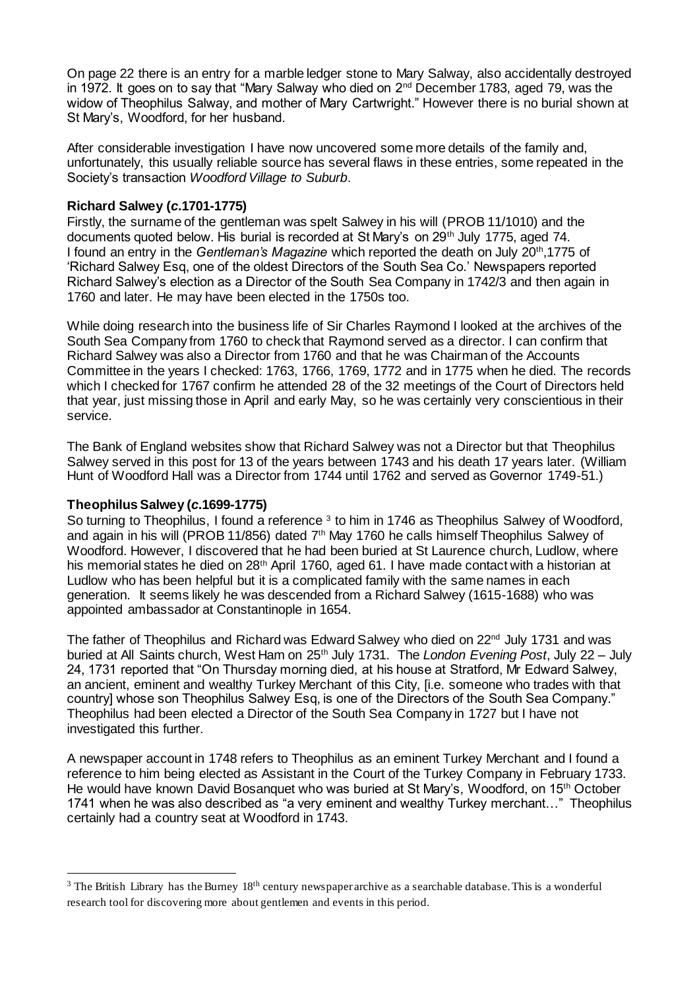On page 22 there is an entry for a marble ledger stone to Mary Salway, also accidentally destroyed in 1972. It goes on to say that "Mary Salway who died on  $2<sup>nd</sup>$  December 1783, aged 79, was the widow of Theophilus Salway, and mother of Mary Cartwright." However there is no burial shown at St Mary's, Woodford, for her husband.

After considerable investigation I have now uncovered some more details of the family and, unfortunately, this usually reliable source has several flaws in these entries, some repeated in the Society's transaction *Woodford Village to Suburb*.

#### **Richard Salwey (***c***.1701-1775)**

Firstly, the surname of the gentleman was spelt Salwey in his will (PROB 11/1010) and the documents quoted below. His burial is recorded at St Mary's on 29th July 1775, aged 74. I found an entry in the Gentleman's Magazine which reported the death on July 20<sup>th</sup>,1775 of 'Richard Salwey Esq, one of the oldest Directors of the South Sea Co.' Newspapers reported Richard Salwey's election as a Director of the South Sea Company in 1742/3 and then again in 1760 and later. He may have been elected in the 1750s too.

While doing research into the business life of Sir Charles Raymond I looked at the archives of the South Sea Company from 1760 to check that Raymond served as a director. I can confirm that Richard Salwey was also a Director from 1760 and that he was Chairman of the Accounts Committee in the years I checked: 1763, 1766, 1769, 1772 and in 1775 when he died. The records which I checked for 1767 confirm he attended 28 of the 32 meetings of the Court of Directors held that year, just missing those in April and early May, so he was certainly very conscientious in their service.

The Bank of England websites show that Richard Salwey was not a Director but that Theophilus Salwey served in this post for 13 of the years between 1743 and his death 17 years later. (William Hunt of Woodford Hall was a Director from 1744 until 1762 and served as Governor 1749-51.)

#### **Theophilus Salwey (***c***.1699-1775)**

 $\overline{a}$ 

So turning to Theophilus, I found a reference  $3$  to him in 1746 as Theophilus Salwey of Woodford, and again in his will [\(PROB 11/856\)](http://www.nationalarchives.gov.uk/catalogue/ExternalRequest.asp?RequestReference=PROB+11%2F856) dated 7<sup>th</sup> May 1760 he calls himself Theophilus Salwey of Woodford. However, I discovered that he had been buried at St Laurence church, Ludlow, where his memorial states he died on 28<sup>th</sup> April 1760, aged 61. I have made contact with a historian at Ludlow who has been helpful but it is a complicated family with the same names in each generation. It seems likely he was descended from a Richard Salwey (1615-1688) who was appointed ambassador at Constantinople in 1654.

The father of Theophilus and Richard was Edward Salwey who died on 22<sup>nd</sup> July 1731 and was buried at All Saints church, West Ham on 25th July 1731. The *London Evening Post*, July 22 – July 24, 1731 reported that "On Thursday morning died, at his house at Stratford, Mr Edward Salwey, an ancient, eminent and wealthy Turkey Merchant of this City, [i.e. someone who trades with that country] whose son Theophilus Salwey Esq, is one of the Directors of the South Sea Company." Theophilus had been elected a Director of the South Sea Company in 1727 but I have not investigated this further.

A newspaper account in 1748 refers to Theophilus as an eminent Turkey Merchant and I found a reference to him being elected as Assistant in the Court of the Turkey Company in February 1733. He would have known David Bosanquet who was buried at St Mary's, Woodford, on 15th October 1741 when he was also described as "a very eminent and wealthy Turkey merchant…" Theophilus certainly had a country seat at Woodford in 1743.

<sup>&</sup>lt;sup>3</sup> The British Library has the Burney  $18<sup>th</sup>$  century newspaper archive as a searchable database. This is a wonderful research tool for discovering more about gentlemen and events in this period.